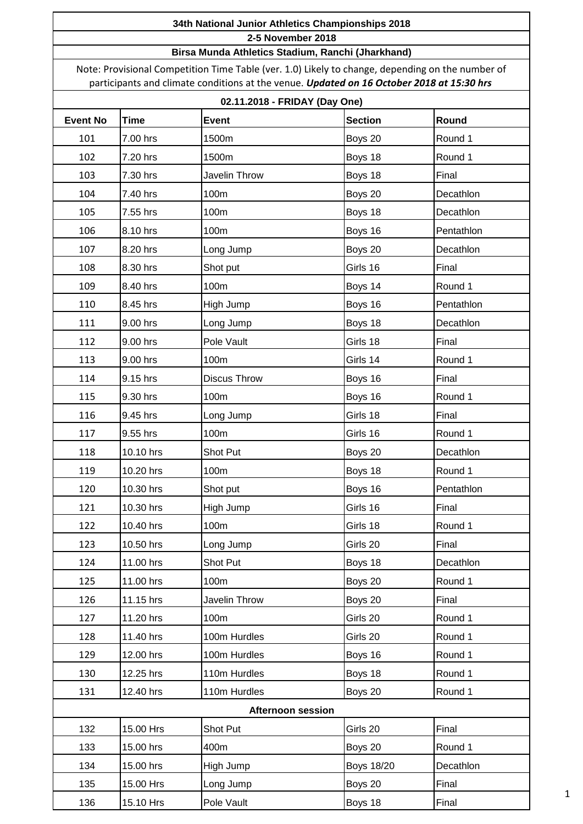#### **Birsa Munda Athletics Stadium, Ranchi (Jharkhand)**

Note: Provisional Competition Time Table (ver. 1.0) Likely to change, depending on the number of participants and climate conditions at the venue. *Updated on 16 October 2018 at 15:30 hrs*

## **02.11.2018 - FRIDAY (Day One)**

| , טווט <sub>(</sub> טען והשהו נשט. ו וש |             |                          |                   |            |  |  |
|-----------------------------------------|-------------|--------------------------|-------------------|------------|--|--|
| <b>Event No</b>                         | <b>Time</b> | <b>Event</b>             | <b>Section</b>    | Round      |  |  |
| 101                                     | 7.00 hrs    | 1500m                    | Boys 20           | Round 1    |  |  |
| 102                                     | 7.20 hrs    | 1500m                    | Boys 18           | Round 1    |  |  |
| 103                                     | 7.30 hrs    | Javelin Throw            | Boys 18           | Final      |  |  |
| 104                                     | 7.40 hrs    | 100m                     | Boys 20           | Decathlon  |  |  |
| 105                                     | 7.55 hrs    | 100m                     | Boys 18           | Decathlon  |  |  |
| 106                                     | 8.10 hrs    | 100m                     | Boys 16           | Pentathlon |  |  |
| 107                                     | 8.20 hrs    | Long Jump                | Boys 20           | Decathlon  |  |  |
| 108                                     | 8.30 hrs    | Shot put                 | Girls 16          | Final      |  |  |
| 109                                     | 8.40 hrs    | 100m                     | Boys 14           | Round 1    |  |  |
| 110                                     | 8.45 hrs    | High Jump                | Boys 16           | Pentathlon |  |  |
| 111                                     | 9.00 hrs    | Long Jump                | Boys 18           | Decathlon  |  |  |
| 112                                     | 9.00 hrs    | Pole Vault               | Girls 18          | Final      |  |  |
| 113                                     | 9.00 hrs    | 100m                     | Girls 14          | Round 1    |  |  |
| 114                                     | 9.15 hrs    | Discus Throw             | Boys 16           | Final      |  |  |
| 115                                     | 9.30 hrs    | 100m                     | Boys 16           | Round 1    |  |  |
| 116                                     | 9.45 hrs    | Long Jump                | Girls 18          | Final      |  |  |
| 117                                     | 9.55 hrs    | 100m                     | Girls 16          | Round 1    |  |  |
| 118                                     | 10.10 hrs   | Shot Put                 | Boys 20           | Decathlon  |  |  |
| 119                                     | 10.20 hrs   | 100m                     | Boys 18           | Round 1    |  |  |
| 120                                     | 10.30 hrs   | Shot put                 | Boys 16           | Pentathlon |  |  |
| 121                                     | 10.30 hrs   | High Jump                | Girls 16          | Final      |  |  |
| 122                                     | 10.40 hrs   | 100m                     | Girls 18          | Round 1    |  |  |
| 123                                     | 10.50 hrs   | Long Jump                | Girls 20          | Final      |  |  |
| 124                                     | 11.00 hrs   | Shot Put                 | Boys 18           | Decathlon  |  |  |
| 125                                     | 11.00 hrs   | 100m                     | Boys 20           | Round 1    |  |  |
| 126                                     | 11.15 hrs   | Javelin Throw            | Boys 20           | Final      |  |  |
| 127                                     | 11.20 hrs   | 100m                     | Girls 20          | Round 1    |  |  |
| 128                                     | 11.40 hrs   | 100m Hurdles             | Girls 20          | Round 1    |  |  |
| 129                                     | 12.00 hrs   | 100m Hurdles             | Boys 16           | Round 1    |  |  |
| 130                                     | 12.25 hrs   | 110m Hurdles             | Boys 18           | Round 1    |  |  |
| 131                                     | 12.40 hrs   | 110m Hurdles             | Boys 20           | Round 1    |  |  |
|                                         |             | <b>Afternoon session</b> |                   |            |  |  |
| 132                                     | 15.00 Hrs   | Shot Put                 | Girls 20          | Final      |  |  |
| 133                                     | 15.00 hrs   | 400m                     | Boys 20           | Round 1    |  |  |
| 134                                     | 15.00 hrs   | High Jump                | <b>Boys 18/20</b> | Decathlon  |  |  |
| 135                                     | 15.00 Hrs   | Long Jump                | Boys 20           | Final      |  |  |
| 136                                     | 15.10 Hrs   | Pole Vault               | Boys 18           | Final      |  |  |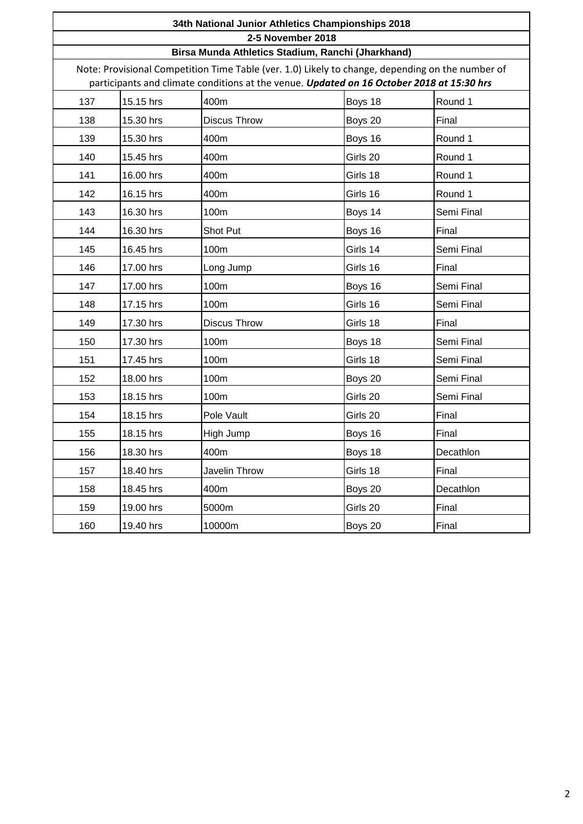|     | 34th National Junior Athletics Championships 2018                                                                                                                                             |                     |          |            |  |  |  |
|-----|-----------------------------------------------------------------------------------------------------------------------------------------------------------------------------------------------|---------------------|----------|------------|--|--|--|
|     | 2-5 November 2018                                                                                                                                                                             |                     |          |            |  |  |  |
|     | Birsa Munda Athletics Stadium, Ranchi (Jharkhand)                                                                                                                                             |                     |          |            |  |  |  |
|     | Note: Provisional Competition Time Table (ver. 1.0) Likely to change, depending on the number of<br>participants and climate conditions at the venue. Updated on 16 October 2018 at 15:30 hrs |                     |          |            |  |  |  |
| 137 | 15.15 hrs                                                                                                                                                                                     | Boys 18             | Round 1  |            |  |  |  |
| 138 | 15.30 hrs                                                                                                                                                                                     | <b>Discus Throw</b> | Boys 20  | Final      |  |  |  |
| 139 | 15.30 hrs                                                                                                                                                                                     | 400m                | Boys 16  | Round 1    |  |  |  |
| 140 | 15.45 hrs                                                                                                                                                                                     | 400m                | Girls 20 | Round 1    |  |  |  |
| 141 | 16.00 hrs                                                                                                                                                                                     | 400m                | Girls 18 | Round 1    |  |  |  |
| 142 | 16.15 hrs                                                                                                                                                                                     | 400m                | Girls 16 | Round 1    |  |  |  |
| 143 | 16.30 hrs                                                                                                                                                                                     | 100m                | Boys 14  | Semi Final |  |  |  |
| 144 | 16.30 hrs                                                                                                                                                                                     | Shot Put            | Boys 16  | Final      |  |  |  |
| 145 | 16.45 hrs                                                                                                                                                                                     | 100m                | Girls 14 | Semi Final |  |  |  |
| 146 | 17.00 hrs                                                                                                                                                                                     | Long Jump           | Girls 16 | Final      |  |  |  |
| 147 | 17.00 hrs                                                                                                                                                                                     | 100m                | Boys 16  | Semi Final |  |  |  |
| 148 | 17.15 hrs                                                                                                                                                                                     | 100m                | Girls 16 | Semi Final |  |  |  |
| 149 | 17.30 hrs                                                                                                                                                                                     | <b>Discus Throw</b> | Girls 18 | Final      |  |  |  |
| 150 | 17.30 hrs                                                                                                                                                                                     | 100m                | Boys 18  | Semi Final |  |  |  |
| 151 | 17.45 hrs                                                                                                                                                                                     | 100m                | Girls 18 | Semi Final |  |  |  |
| 152 | 18.00 hrs                                                                                                                                                                                     | 100m                | Boys 20  | Semi Final |  |  |  |
| 153 | 18.15 hrs                                                                                                                                                                                     | 100m                | Girls 20 | Semi Final |  |  |  |
| 154 | 18.15 hrs                                                                                                                                                                                     | Pole Vault          | Girls 20 | Final      |  |  |  |
| 155 | 18.15 hrs                                                                                                                                                                                     | High Jump           | Boys 16  | Final      |  |  |  |
| 156 | 18.30 hrs                                                                                                                                                                                     | 400m                | Boys 18  | Decathlon  |  |  |  |
| 157 | 18.40 hrs                                                                                                                                                                                     | Javelin Throw       | Girls 18 | Final      |  |  |  |
| 158 | 18.45 hrs                                                                                                                                                                                     | 400m                | Boys 20  | Decathlon  |  |  |  |
| 159 | 19.00 hrs                                                                                                                                                                                     | 5000m               | Girls 20 | Final      |  |  |  |
| 160 | 19.40 hrs                                                                                                                                                                                     | 10000m              | Boys 20  | Final      |  |  |  |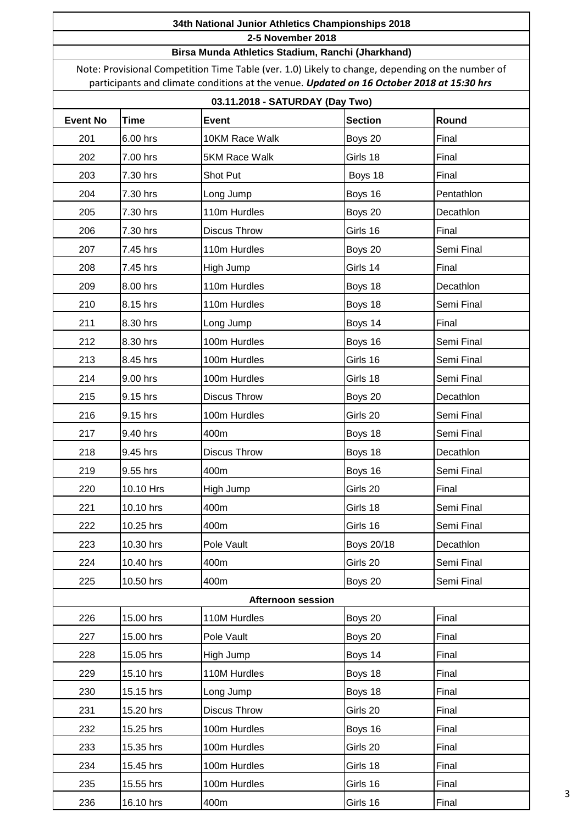#### **Birsa Munda Athletics Stadium, Ranchi (Jharkhand)**

Note: Provisional Competition Time Table (ver. 1.0) Likely to change, depending on the number of participants and climate conditions at the venue. *Updated on 16 October 2018 at 15:30 hrs*

# **03.11.2018 - SATURDAY (Day Two)**

|                 |             | 00.11.2010 - OATORDAT (Day TWO) |                |            |
|-----------------|-------------|---------------------------------|----------------|------------|
| <b>Event No</b> | <b>Time</b> | <b>Event</b>                    | <b>Section</b> | Round      |
| 201             | 6.00 hrs    | 10KM Race Walk                  | Boys 20        | Final      |
| 202             | 7.00 hrs    | 5KM Race Walk                   | Girls 18       | Final      |
| 203             | 7.30 hrs    | Shot Put                        | Boys 18        | Final      |
| 204             | 7.30 hrs    | Long Jump                       | Boys 16        | Pentathlon |
| 205             | 7.30 hrs    | 110m Hurdles                    | Boys 20        | Decathlon  |
| 206             | 7.30 hrs    | <b>Discus Throw</b>             | Girls 16       | Final      |
| 207             | 7.45 hrs    | 110m Hurdles                    | Boys 20        | Semi Final |
| 208             | 7.45 hrs    | High Jump                       | Girls 14       | Final      |
| 209             | 8.00 hrs    | 110m Hurdles                    | Boys 18        | Decathlon  |
| 210             | 8.15 hrs    | 110m Hurdles                    | Boys 18        | Semi Final |
| 211             | 8.30 hrs    | Long Jump                       | Boys 14        | Final      |
| 212             | 8.30 hrs    | 100m Hurdles                    | Boys 16        | Semi Final |
| 213             | 8.45 hrs    | 100m Hurdles                    | Girls 16       | Semi Final |
| 214             | 9.00 hrs    | 100m Hurdles                    | Girls 18       | Semi Final |
| 215             | 9.15 hrs    | <b>Discus Throw</b>             | Boys 20        | Decathlon  |
| 216             | 9.15 hrs    | 100m Hurdles                    | Girls 20       | Semi Final |
| 217             | 9.40 hrs    | 400m                            | Boys 18        | Semi Final |
| 218             | 9.45 hrs    | Discus Throw                    | Boys 18        | Decathlon  |
| 219             | 9.55 hrs    | 400m                            | Boys 16        | Semi Final |
| 220             | 10.10 Hrs   | High Jump                       | Girls 20       | Final      |
| 221             | 10.10 hrs   | 400m                            | Girls 18       | Semi Final |
| 222             | 10.25 hrs   | 400m                            | Girls 16       | Semi Final |
| 223             | 10.30 hrs   | Pole Vault                      | Boys 20/18     | Decathlon  |
| 224             | 10.40 hrs   | 400m                            | Girls 20       | Semi Final |
| 225             | 10.50 hrs   | 400m                            | Boys 20        | Semi Final |
|                 |             | <b>Afternoon session</b>        |                |            |
| 226             | 15.00 hrs   | 110M Hurdles                    | Boys 20        | Final      |
| 227             | 15.00 hrs   | Pole Vault                      | Boys 20        | Final      |
| 228             | 15.05 hrs   | High Jump                       | Boys 14        | Final      |
| 229             | 15.10 hrs   | 110M Hurdles                    | Boys 18        | Final      |
| 230             | 15.15 hrs   | Long Jump                       | Boys 18        | Final      |
| 231             | 15.20 hrs   | <b>Discus Throw</b>             | Girls 20       | Final      |
| 232             | 15.25 hrs   | 100m Hurdles                    | Boys 16        | Final      |
| 233             | 15.35 hrs   | 100m Hurdles                    | Girls 20       | Final      |
| 234             | 15.45 hrs   | 100m Hurdles                    | Girls 18       | Final      |
| 235             | 15.55 hrs   | 100m Hurdles                    | Girls 16       | Final      |
| 236             | 16.10 hrs   | 400m                            | Girls 16       | Final      |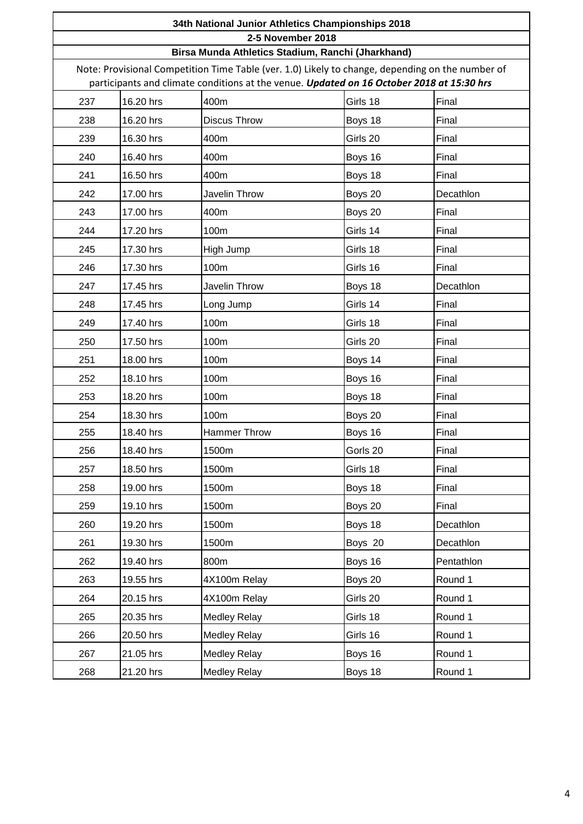|     | 34th National Junior Athletics Championships 2018                                                                                                                                                                                                  |                     |          |            |  |  |
|-----|----------------------------------------------------------------------------------------------------------------------------------------------------------------------------------------------------------------------------------------------------|---------------------|----------|------------|--|--|
|     | 2-5 November 2018                                                                                                                                                                                                                                  |                     |          |            |  |  |
|     | Birsa Munda Athletics Stadium, Ranchi (Jharkhand)<br>Note: Provisional Competition Time Table (ver. 1.0) Likely to change, depending on the number of<br>participants and climate conditions at the venue. Updated on 16 October 2018 at 15:30 hrs |                     |          |            |  |  |
| 237 | 16.20 hrs                                                                                                                                                                                                                                          | 400m                | Girls 18 | Final      |  |  |
| 238 | 16.20 hrs                                                                                                                                                                                                                                          | <b>Discus Throw</b> | Boys 18  | Final      |  |  |
| 239 | 16.30 hrs                                                                                                                                                                                                                                          | 400m                | Girls 20 | Final      |  |  |
| 240 | 16.40 hrs                                                                                                                                                                                                                                          | 400m                | Boys 16  | Final      |  |  |
| 241 | 16.50 hrs                                                                                                                                                                                                                                          | 400m                | Boys 18  | Final      |  |  |
| 242 | 17.00 hrs                                                                                                                                                                                                                                          | Javelin Throw       | Boys 20  | Decathlon  |  |  |
| 243 | 17.00 hrs                                                                                                                                                                                                                                          | 400m                | Boys 20  | Final      |  |  |
| 244 | 17.20 hrs                                                                                                                                                                                                                                          | 100m                | Girls 14 | Final      |  |  |
| 245 | 17.30 hrs                                                                                                                                                                                                                                          | High Jump           | Girls 18 | Final      |  |  |
| 246 | 17.30 hrs                                                                                                                                                                                                                                          | 100m                | Girls 16 | Final      |  |  |
| 247 | 17.45 hrs                                                                                                                                                                                                                                          | Javelin Throw       | Boys 18  | Decathlon  |  |  |
| 248 | 17.45 hrs                                                                                                                                                                                                                                          | Long Jump           | Girls 14 | Final      |  |  |
| 249 | 17.40 hrs                                                                                                                                                                                                                                          | 100m                | Girls 18 | Final      |  |  |
| 250 | 17.50 hrs                                                                                                                                                                                                                                          | 100m                | Girls 20 | Final      |  |  |
| 251 | 18.00 hrs                                                                                                                                                                                                                                          | 100m                | Boys 14  | Final      |  |  |
| 252 | 18.10 hrs                                                                                                                                                                                                                                          | 100m                | Boys 16  | Final      |  |  |
| 253 | 18.20 hrs                                                                                                                                                                                                                                          | 100m                | Boys 18  | Final      |  |  |
| 254 | 18.30 hrs                                                                                                                                                                                                                                          | 100m                | Boys 20  | Final      |  |  |
| 255 | 18.40 hrs                                                                                                                                                                                                                                          | <b>Hammer Throw</b> | Boys 16  | Final      |  |  |
| 256 | 18.40 hrs                                                                                                                                                                                                                                          | 1500m               | Gorls 20 | Final      |  |  |
| 257 | 18.50 hrs                                                                                                                                                                                                                                          | 1500m               | Girls 18 | Final      |  |  |
| 258 | 19.00 hrs                                                                                                                                                                                                                                          | 1500m               | Boys 18  | Final      |  |  |
| 259 | 19.10 hrs                                                                                                                                                                                                                                          | 1500m               | Boys 20  | Final      |  |  |
| 260 | 19.20 hrs                                                                                                                                                                                                                                          | 1500m               | Boys 18  | Decathlon  |  |  |
| 261 | 19.30 hrs                                                                                                                                                                                                                                          | 1500m               | Boys 20  | Decathlon  |  |  |
| 262 | 19.40 hrs                                                                                                                                                                                                                                          | 800m                | Boys 16  | Pentathlon |  |  |
| 263 | 19.55 hrs                                                                                                                                                                                                                                          | 4X100m Relay        | Boys 20  | Round 1    |  |  |
| 264 | 20.15 hrs                                                                                                                                                                                                                                          | 4X100m Relay        | Girls 20 | Round 1    |  |  |
| 265 | 20.35 hrs                                                                                                                                                                                                                                          | <b>Medley Relay</b> | Girls 18 | Round 1    |  |  |
| 266 | 20.50 hrs                                                                                                                                                                                                                                          | <b>Medley Relay</b> | Girls 16 | Round 1    |  |  |
| 267 | 21.05 hrs                                                                                                                                                                                                                                          | <b>Medley Relay</b> | Boys 16  | Round 1    |  |  |
| 268 | 21.20 hrs                                                                                                                                                                                                                                          | <b>Medley Relay</b> | Boys 18  | Round 1    |  |  |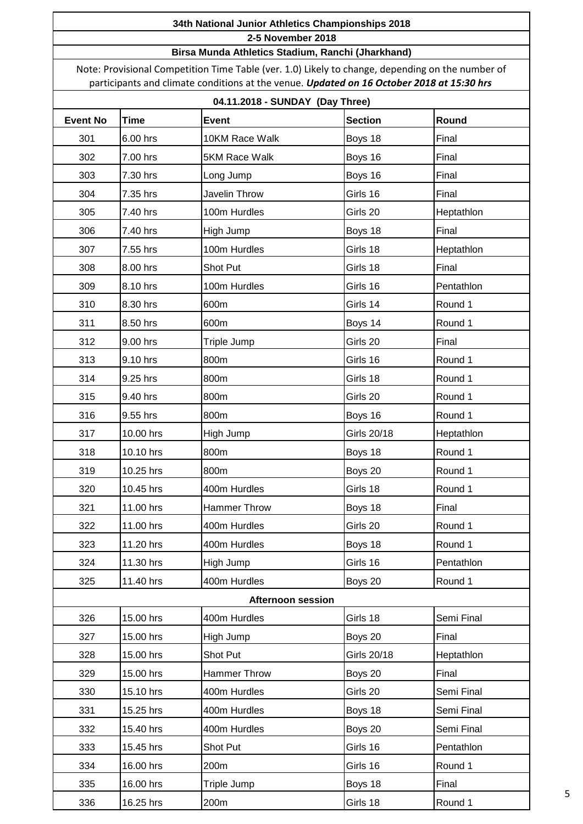#### **Birsa Munda Athletics Stadium, Ranchi (Jharkhand)**

Note: Provisional Competition Time Table (ver. 1.0) Likely to change, depending on the number of participants and climate conditions at the venue. *Updated on 16 October 2018 at 15:30 hrs*

## **04.11.2018 - SUNDAY (Day Three)**

|                 |             | $7.11.2010 - 30110A1$ (Day Three) |                |            |
|-----------------|-------------|-----------------------------------|----------------|------------|
| <b>Event No</b> | <b>Time</b> | <b>Event</b>                      | <b>Section</b> | Round      |
| 301             | 6.00 hrs    | 10KM Race Walk                    | Boys 18        | Final      |
| 302             | 7.00 hrs    | 5KM Race Walk                     | Boys 16        | Final      |
| 303             | 7.30 hrs    | Long Jump                         | Boys 16        | Final      |
| 304             | 7.35 hrs    | Javelin Throw                     | Girls 16       | Final      |
| 305             | 7.40 hrs    | 100m Hurdles                      | Girls 20       | Heptathlon |
| 306             | 7.40 hrs    | High Jump                         | Boys 18        | Final      |
| 307             | 7.55 hrs    | 100m Hurdles                      | Girls 18       | Heptathlon |
| 308             | 8.00 hrs    | Shot Put                          | Girls 18       | Final      |
| 309             | 8.10 hrs    | 100m Hurdles                      | Girls 16       | Pentathlon |
| 310             | 8.30 hrs    | 600m                              | Girls 14       | Round 1    |
| 311             | 8.50 hrs    | 600m                              | Boys 14        | Round 1    |
| 312             | 9.00 hrs    | Triple Jump                       | Girls 20       | Final      |
| 313             | 9.10 hrs    | 800m                              | Girls 16       | Round 1    |
| 314             | 9.25 hrs    | 800m                              | Girls 18       | Round 1    |
| 315             | 9.40 hrs    | 800m                              | Girls 20       | Round 1    |
| 316             | 9.55 hrs    | 800m                              | Boys 16        | Round 1    |
| 317             | 10.00 hrs   | High Jump                         | Girls 20/18    | Heptathlon |
| 318             | 10.10 hrs   | 800m                              | Boys 18        | Round 1    |
| 319             | 10.25 hrs   | 800m                              | Boys 20        | Round 1    |
| 320             | 10.45 hrs   | 400m Hurdles                      | Girls 18       | Round 1    |
| 321             | 11.00 hrs   | Hammer Throw                      | Boys 18        | Final      |
| 322             | 11.00 hrs   | 400m Hurdles                      | Girls 20       | Round 1    |
| 323             | 11.20 hrs   | 400m Hurdles                      | Boys 18        | Round 1    |
| 324             | 11.30 hrs   | High Jump                         | Girls 16       | Pentathlon |
| 325             | 11.40 hrs   | 400m Hurdles                      | Boys 20        | Round 1    |
|                 |             | <b>Afternoon session</b>          |                |            |
| 326             | 15.00 hrs   | 400m Hurdles                      | Girls 18       | Semi Final |
| 327             | 15.00 hrs   | High Jump                         | Boys 20        | Final      |
| 328             | 15.00 hrs   | Shot Put                          | Girls 20/18    | Heptathlon |
| 329             | 15.00 hrs   | <b>Hammer Throw</b>               | Boys 20        | Final      |
| 330             | 15.10 hrs   | 400m Hurdles                      | Girls 20       | Semi Final |
| 331             | 15.25 hrs   | 400m Hurdles                      | Boys 18        | Semi Final |
| 332             | 15.40 hrs   | 400m Hurdles                      | Boys 20        | Semi Final |
| 333             | 15.45 hrs   | Shot Put                          | Girls 16       | Pentathlon |
| 334             | 16.00 hrs   | 200m                              | Girls 16       | Round 1    |
| 335             | 16.00 hrs   | Triple Jump                       | Boys 18        | Final      |
| 336             | 16.25 hrs   | 200m                              | Girls 18       | Round 1    |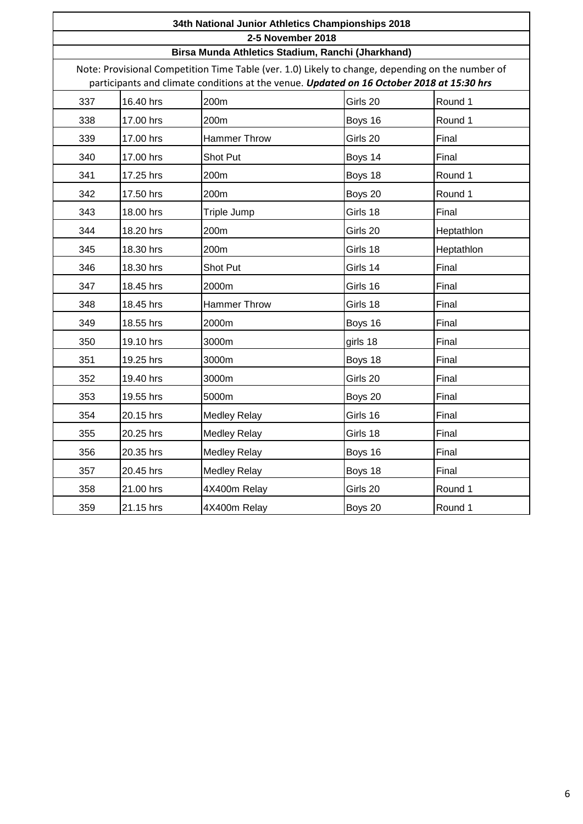| 34th National Junior Athletics Championships 2018<br>2-5 November 2018<br>Birsa Munda Athletics Stadium, Ranchi (Jharkhand)<br>Note: Provisional Competition Time Table (ver. 1.0) Likely to change, depending on the number of<br>participants and climate conditions at the venue. Updated on 16 October 2018 at 15:30 hrs |           |                     |          |            |  |
|------------------------------------------------------------------------------------------------------------------------------------------------------------------------------------------------------------------------------------------------------------------------------------------------------------------------------|-----------|---------------------|----------|------------|--|
|                                                                                                                                                                                                                                                                                                                              |           |                     |          |            |  |
| 338                                                                                                                                                                                                                                                                                                                          | 17.00 hrs | 200m                | Boys 16  | Round 1    |  |
| 339                                                                                                                                                                                                                                                                                                                          | 17.00 hrs | <b>Hammer Throw</b> | Girls 20 | Final      |  |
| 340                                                                                                                                                                                                                                                                                                                          | 17.00 hrs | Shot Put            | Boys 14  | Final      |  |
| 341                                                                                                                                                                                                                                                                                                                          | 17.25 hrs | 200m                | Boys 18  | Round 1    |  |
| 342                                                                                                                                                                                                                                                                                                                          | 17.50 hrs | 200m                | Boys 20  | Round 1    |  |
| 343                                                                                                                                                                                                                                                                                                                          | 18.00 hrs | Triple Jump         | Girls 18 | Final      |  |
| 344                                                                                                                                                                                                                                                                                                                          | 18.20 hrs | 200m                | Girls 20 | Heptathlon |  |
| 345                                                                                                                                                                                                                                                                                                                          | 18.30 hrs | 200m                | Girls 18 | Heptathlon |  |
| 346                                                                                                                                                                                                                                                                                                                          | 18.30 hrs | Shot Put            | Girls 14 | Final      |  |
| 347                                                                                                                                                                                                                                                                                                                          | 18.45 hrs | 2000m               | Girls 16 | Final      |  |
| 348                                                                                                                                                                                                                                                                                                                          | 18.45 hrs | <b>Hammer Throw</b> | Girls 18 | Final      |  |
| 349                                                                                                                                                                                                                                                                                                                          | 18.55 hrs | 2000m               | Boys 16  | Final      |  |
| 350                                                                                                                                                                                                                                                                                                                          | 19.10 hrs | 3000m               | girls 18 | Final      |  |
| 351                                                                                                                                                                                                                                                                                                                          | 19.25 hrs | 3000m               | Boys 18  | Final      |  |
| 352                                                                                                                                                                                                                                                                                                                          | 19.40 hrs | 3000m               | Girls 20 | Final      |  |
| 353                                                                                                                                                                                                                                                                                                                          | 19.55 hrs | 5000m               | Boys 20  | Final      |  |
| 354                                                                                                                                                                                                                                                                                                                          | 20.15 hrs | <b>Medley Relay</b> | Girls 16 | Final      |  |
| 355                                                                                                                                                                                                                                                                                                                          | 20.25 hrs | <b>Medley Relay</b> | Girls 18 | Final      |  |
| 356                                                                                                                                                                                                                                                                                                                          | 20.35 hrs | <b>Medley Relay</b> | Boys 16  | Final      |  |
| 357                                                                                                                                                                                                                                                                                                                          | 20.45 hrs | <b>Medley Relay</b> | Boys 18  | Final      |  |
| 358                                                                                                                                                                                                                                                                                                                          | 21.00 hrs | 4X400m Relay        | Girls 20 | Round 1    |  |
| 359                                                                                                                                                                                                                                                                                                                          | 21.15 hrs | 4X400m Relay        | Boys 20  | Round 1    |  |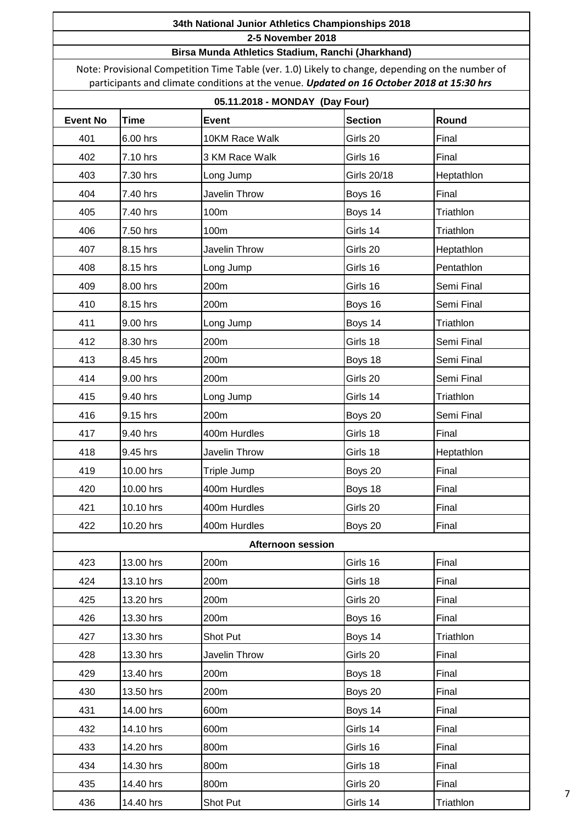#### **Birsa Munda Athletics Stadium, Ranchi (Jharkhand)**

Note: Provisional Competition Time Table (ver. 1.0) Likely to change, depending on the number of participants and climate conditions at the venue. *Updated on 16 October 2018 at 15:30 hrs*

# **05.11.2018 - MONDAY (Day Four)**

| UJ. I I.ZU IO - MUNDA I (DAY FOUI) |             |                   |                |            |  |
|------------------------------------|-------------|-------------------|----------------|------------|--|
| <b>Event No</b>                    | <b>Time</b> | <b>Event</b>      | <b>Section</b> | Round      |  |
| 401                                | 6.00 hrs    | 10KM Race Walk    | Girls 20       | Final      |  |
| 402                                | 7.10 hrs    | 3 KM Race Walk    | Girls 16       | Final      |  |
| 403                                | 7.30 hrs    | Long Jump         | Girls 20/18    | Heptathlon |  |
| 404                                | 7.40 hrs    | Javelin Throw     | Boys 16        | Final      |  |
| 405                                | 7.40 hrs    | 100m              | Boys 14        | Triathlon  |  |
| 406                                | 7.50 hrs    | 100m              | Girls 14       | Triathlon  |  |
| 407                                | 8.15 hrs    | Javelin Throw     | Girls 20       | Heptathlon |  |
| 408                                | 8.15 hrs    | Long Jump         | Girls 16       | Pentathlon |  |
| 409                                | 8.00 hrs    | 200m              | Girls 16       | Semi Final |  |
| 410                                | 8.15 hrs    | 200m              | Boys 16        | Semi Final |  |
| 411                                | 9.00 hrs    | Long Jump         | Boys 14        | Triathlon  |  |
| 412                                | 8.30 hrs    | 200m              | Girls 18       | Semi Final |  |
| 413                                | 8.45 hrs    | 200m              | Boys 18        | Semi Final |  |
| 414                                | 9.00 hrs    | 200m              | Girls 20       | Semi Final |  |
| 415                                | 9.40 hrs    | Long Jump         | Girls 14       | Triathlon  |  |
| 416                                | 9.15 hrs    | 200m              | Boys 20        | Semi Final |  |
| 417                                | 9.40 hrs    | 400m Hurdles      | Girls 18       | Final      |  |
| 418                                | 9.45 hrs    | Javelin Throw     | Girls 18       | Heptathlon |  |
| 419                                | 10.00 hrs   | Triple Jump       | Boys 20        | Final      |  |
| 420                                | 10.00 hrs   | 400m Hurdles      | Boys 18        | Final      |  |
| 421                                | 10.10 hrs   | 400m Hurdles      | Girls 20       | Final      |  |
| 422                                | 10.20 hrs   | 400m Hurdles      | Boys 20        | Final      |  |
|                                    |             | Afternoon session |                |            |  |
| 423                                | 13.00 hrs   | 200m              | Girls 16       | Final      |  |
| 424                                | 13.10 hrs   | 200m              | Girls 18       | Final      |  |
| 425                                | 13.20 hrs   | 200m              | Girls 20       | Final      |  |
| 426                                | 13.30 hrs   | 200m              | Boys 16        | Final      |  |
| 427                                | 13.30 hrs   | Shot Put          | Boys 14        | Triathlon  |  |
| 428                                | 13.30 hrs   | Javelin Throw     | Girls 20       | Final      |  |
| 429                                | 13.40 hrs   | 200m              | Boys 18        | Final      |  |
| 430                                | 13.50 hrs   | 200m              | Boys 20        | Final      |  |
| 431                                | 14.00 hrs   | 600m              | Boys 14        | Final      |  |
| 432                                | 14.10 hrs   | 600m              | Girls 14       | Final      |  |
| 433                                | 14.20 hrs   | 800m              | Girls 16       | Final      |  |
| 434                                | 14.30 hrs   | 800m              | Girls 18       | Final      |  |
| 435                                | 14.40 hrs   | 800m              | Girls 20       | Final      |  |
| 436                                | 14.40 hrs   | Shot Put          | Girls 14       | Triathlon  |  |